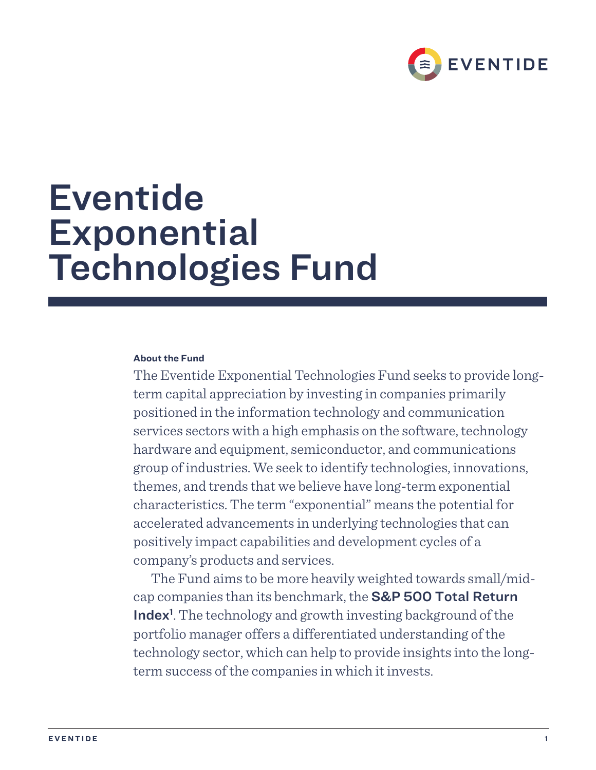

# Eventide **Exponential** Technologies Fund

# **About the Fund**

The Eventide Exponential Technologies Fund seeks to provide longterm capital appreciation by investing in companies primarily positioned in the information technology and communication services sectors with a high emphasis on the software, technology hardware and equipment, semiconductor, and communications group of industries. We seek to identify technologies, innovations, themes, and trends that we believe have long-term exponential characteristics. The term "exponential" means the potential for accelerated advancements in underlying technologies that can positively impact capabilities and development cycles of a company's products and services.

The Fund aims to be more heavily weighted towards small/midcap companies than its benchmark, the S&P 500 Total Return Index<sup>1</sup>. The technology and growth investing background of the portfolio manager offers a differentiated understanding of the technology sector, which can help to provide insights into the longterm success of the companies in which it invests.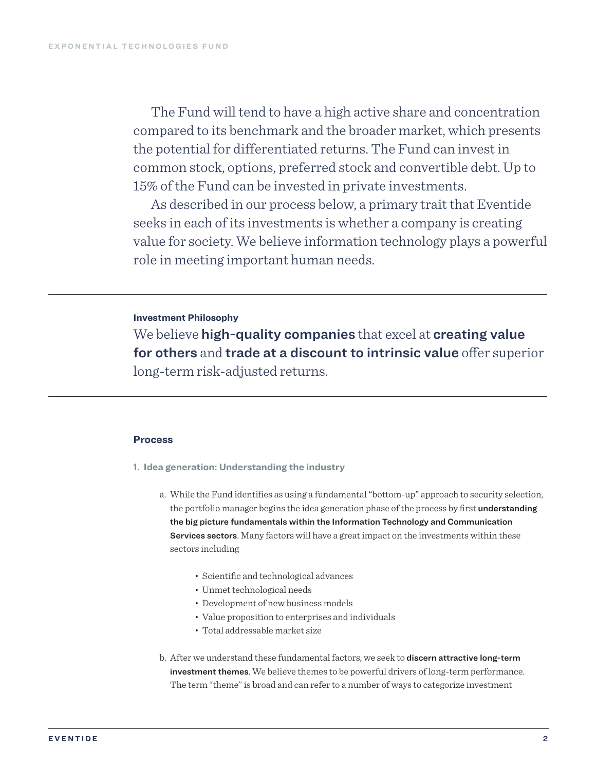The Fund will tend to have a high active share and concentration compared to its benchmark and the broader market, which presents the potential for differentiated returns. The Fund can invest in common stock, options, preferred stock and convertible debt. Up to 15% of the Fund can be invested in private investments.

As described in our process below, a primary trait that Eventide seeks in each of its investments is whether a company is creating value for society. We believe information technology plays a powerful role in meeting important human needs.

## **Investment Philosophy**

We believe high-quality companies that excel at creating value for others and trade at a discount to intrinsic value offer superior long-term risk-adjusted returns.

#### **Process**

- **1. Idea generation: Understanding the industry**
	- a. While the Fund identifies as using a fundamental "bottom-up" approach to security selection, the portfolio manager begins the idea generation phase of the process by first understanding the big picture fundamentals within the Information Technology and Communication Services sectors. Many factors will have a great impact on the investments within these sectors including
		- Scientific and technological advances
		- Unmet technological needs
		- Development of new business models
		- Value proposition to enterprises and individuals
		- Total addressable market size
	- b. After we understand these fundamental factors, we seek to discern attractive long-term investment themes. We believe themes to be powerful drivers of long-term performance. The term "theme" is broad and can refer to a number of ways to categorize investment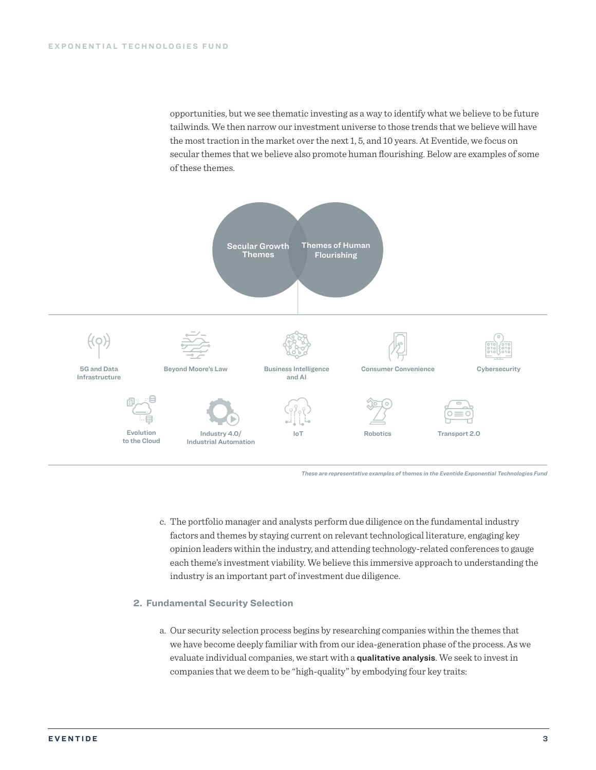opportunities, but we see thematic investing as a way to identify what we believe to be future tailwinds. We then narrow our investment universe to those trends that we believe will have the most traction in the market over the next 1, 5, and 10 years. At Eventide, we focus on secular themes that we believe also promote human flourishing. Below are examples of some of these themes.



*These are representative examples of themes in the Eventide Exponential Technologies Fund*

c. The portfolio manager and analysts perform due diligence on the fundamental industry factors and themes by staying current on relevant technological literature, engaging key opinion leaders within the industry, and attending technology-related conferences to gauge each theme's investment viability. We believe this immersive approach to understanding the industry is an important part of investment due diligence.

#### **2. Fundamental Security Selection**

a. Our security selection process begins by researching companies within the themes that we have become deeply familiar with from our idea-generation phase of the process. As we evaluate individual companies, we start with a qualitative analysis. We seek to invest in companies that we deem to be "high-quality" by embodying four key traits: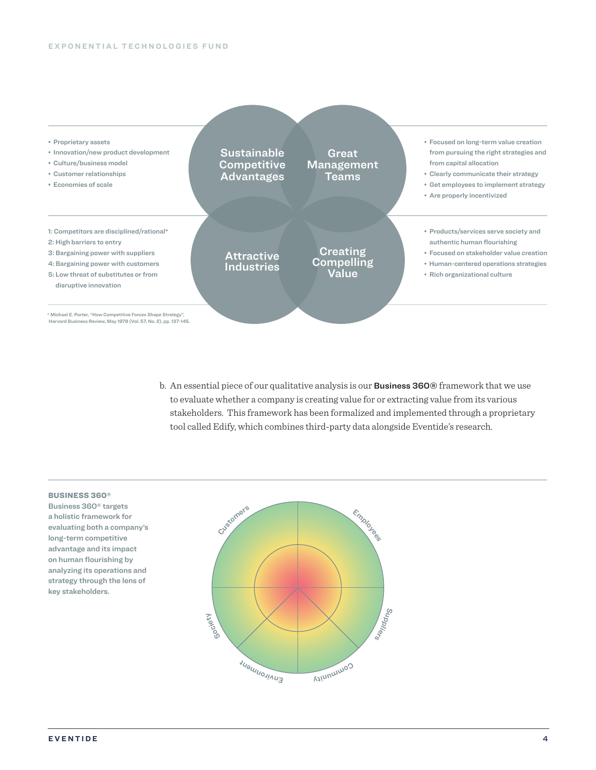

b. An essential piece of our qualitative analysis is our **Business 360**<sup>®</sup> framework that we use to evaluate whether a company is creating value for or extracting value from its various stakeholders. This framework has been formalized and implemented through a proprietary tool called Edify, which combines third-party data alongside Eventide's research.

#### BUSINESS 360®

Business 360® targets a holistic framework for evaluating both a company's long-term competitive advantage and its impact on human flourishing by analyzing its operations and strategy through the lens of key stakeholders.

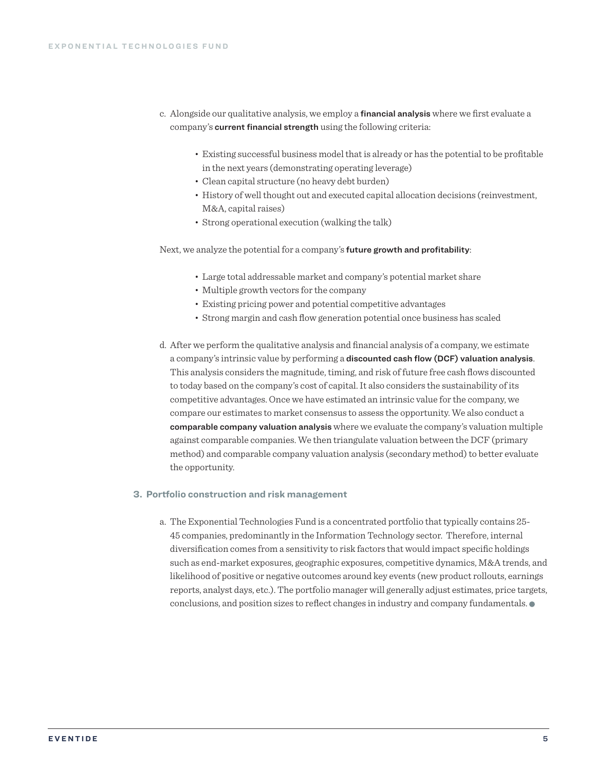- c. Alongside our qualitative analysis, we employ a financial analysis where we first evaluate a company's current financial strength using the following criteria:
	- Existing successful business model that is already or has the potential to be profitable in the next years (demonstrating operating leverage)
	- Clean capital structure (no heavy debt burden)
	- History of well thought out and executed capital allocation decisions (reinvestment, M&A, capital raises)
	- Strong operational execution (walking the talk)

Next, we analyze the potential for a company's future growth and profitability:

- Large total addressable market and company's potential market share
- Multiple growth vectors for the company
- Existing pricing power and potential competitive advantages
- Strong margin and cash flow generation potential once business has scaled
- d. After we perform the qualitative analysis and financial analysis of a company, we estimate a company's intrinsic value by performing a discounted cash flow (DCF) valuation analysis. This analysis considers the magnitude, timing, and risk of future free cash flows discounted to today based on the company's cost of capital. It also considers the sustainability of its competitive advantages. Once we have estimated an intrinsic value for the company, we compare our estimates to market consensus to assess the opportunity. We also conduct a comparable company valuation analysis where we evaluate the company's valuation multiple against comparable companies. We then triangulate valuation between the DCF (primary method) and comparable company valuation analysis (secondary method) to better evaluate the opportunity.

### **3. Portfolio construction and risk management**

a. The Exponential Technologies Fund is a concentrated portfolio that typically contains 25- 45 companies, predominantly in the Information Technology sector. Therefore, internal diversification comes from a sensitivity to risk factors that would impact specific holdings such as end-market exposures, geographic exposures, competitive dynamics, M&A trends, and likelihood of positive or negative outcomes around key events (new product rollouts, earnings reports, analyst days, etc.). The portfolio manager will generally adjust estimates, price targets, conclusions, and position sizes to reflect changes in industry and company fundamentals.